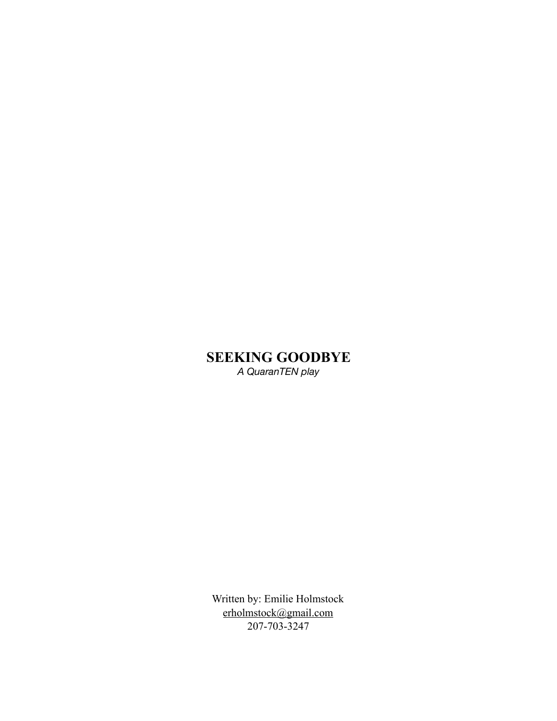# **SEEKING GOODBYE**

 *A QuaranTEN play* 

Written by: Emilie Holmstock [erholmstock@gmail.com](mailto:erholmstock@gmail.com) 207-703-3247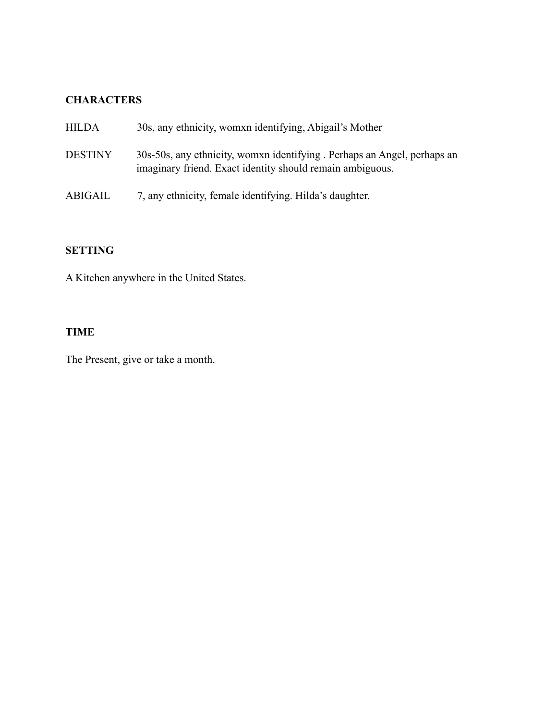## **CHARACTERS**

| <b>HILDA</b>   | 30s, any ethnicity, womxn identifying, Abigail's Mother                                                                              |
|----------------|--------------------------------------------------------------------------------------------------------------------------------------|
| <b>DESTINY</b> | 30s-50s, any ethnicity, womxn identifying. Perhaps an Angel, perhaps an<br>imaginary friend. Exact identity should remain ambiguous. |
| ABIGAIL        | 7, any ethnicity, female identifying. Hilda's daughter.                                                                              |

# **SETTING**

A Kitchen anywhere in the United States.

# **TIME**

The Present, give or take a month.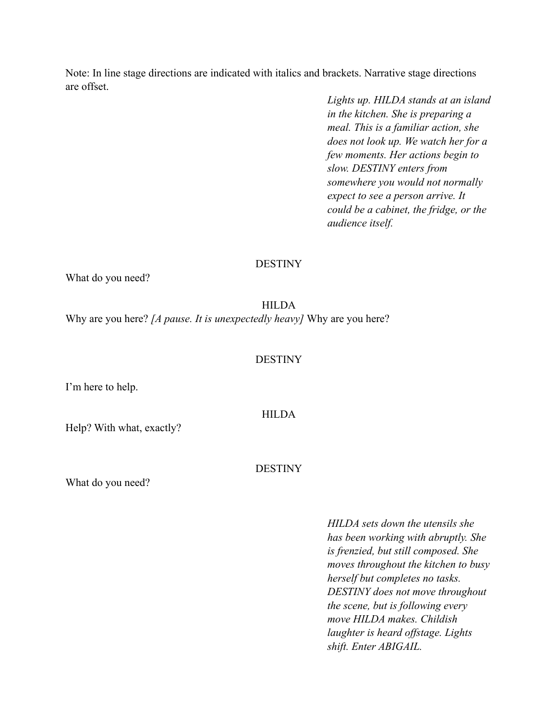Note: In line stage directions are indicated with italics and brackets. Narrative stage directions are offset.

> *Lights up. HILDA stands at an island in the kitchen. She is preparing a meal. This is a familiar action, she does not look up. We watch her for a few moments. Her actions begin to slow. DESTINY enters from somewhere you would not normally expect to see a person arrive. It could be a cabinet, the fridge, or the audience itself.*

#### DESTINY

What do you need?

HILDA Why are you here? *[A pause. It is unexpectedly heavy]* Why are you here?

#### DESTINY

**HILDA** 

I'm here to help.

Help? With what, exactly?

DESTINY

What do you need?

*HILDA sets down the utensils she has been working with abruptly. She is frenzied, but still composed. She moves throughout the kitchen to busy herself but completes no tasks. DESTINY does not move throughout the scene, but is following every move HILDA makes. Childish laughter is heard offstage. Lights shift. Enter ABIGAIL.*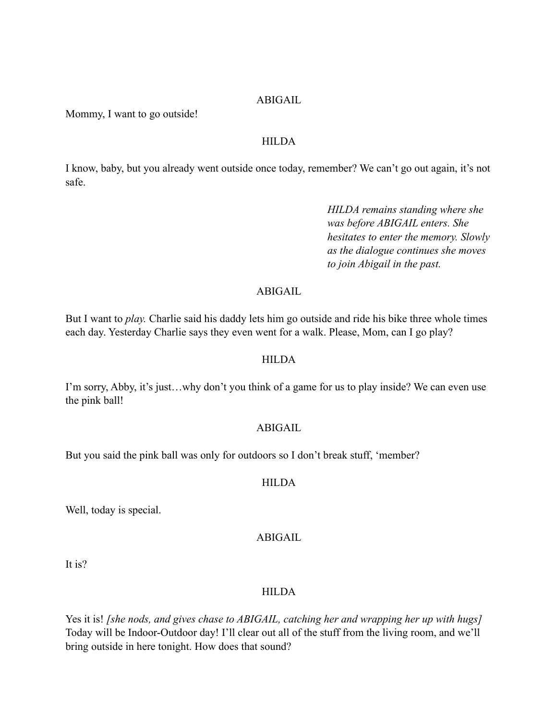#### ABIGAIL

Mommy, I want to go outside!

#### **HILDA**

I know, baby, but you already went outside once today, remember? We can't go out again, it's not safe.

> *HILDA remains standing where she was before ABIGAIL enters. She hesitates to enter the memory. Slowly as the dialogue continues she moves to join Abigail in the past.*

## ABIGAIL

But I want to *play.* Charlie said his daddy lets him go outside and ride his bike three whole times each day. Yesterday Charlie says they even went for a walk. Please, Mom, can I go play?

#### HILDA

I'm sorry, Abby, it's just…why don't you think of a game for us to play inside? We can even use the pink ball!

#### ABIGAIL

But you said the pink ball was only for outdoors so I don't break stuff, 'member?

#### **HILDA**

Well, today is special.

### ABIGAIL

It is?

#### HILDA

Yes it is! *[she nods, and gives chase to ABIGAIL, catching her and wrapping her up with hugs]*  Today will be Indoor-Outdoor day! I'll clear out all of the stuff from the living room, and we'll bring outside in here tonight. How does that sound?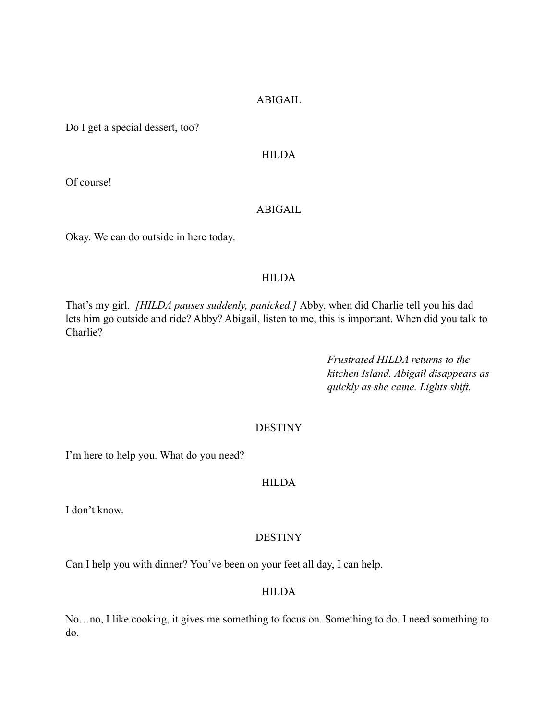#### ABIGAIL

Do I get a special dessert, too?

#### HILDA

Of course!

#### ABIGAIL

Okay. We can do outside in here today.

## HILDA

That's my girl. *[HILDA pauses suddenly, panicked.]* Abby, when did Charlie tell you his dad lets him go outside and ride? Abby? Abigail, listen to me, this is important. When did you talk to Charlie?

> *Frustrated HILDA returns to the kitchen Island. Abigail disappears as quickly as she came. Lights shift.*

#### **DESTINY**

I'm here to help you. What do you need?

### **HILDA**

I don't know.

#### **DESTINY**

Can I help you with dinner? You've been on your feet all day, I can help.

### **HILDA**

No…no, I like cooking, it gives me something to focus on. Something to do. I need something to do.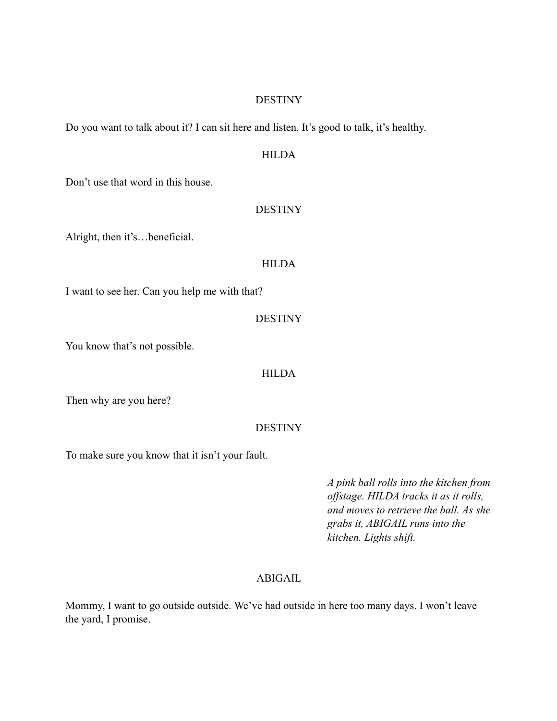#### DESTINY

Do you want to talk about it? I can sit here and listen. It's good to talk, it's healthy.

## HILDA

Don't use that word in this house.

#### DESTINY

Alright, then it's…beneficial.

#### **HILDA**

I want to see her. Can you help me with that?

#### **DESTINY**

You know that's not possible.

#### HILDA

Then why are you here?

#### **DESTINY**

To make sure you know that it isn't your fault.

*A pink ball rolls into the kitchen from offstage. HILDA tracks it as it rolls, and moves to retrieve the ball. As she grabs it, ABIGAIL runs into the kitchen. Lights shift.* 

### ABIGAIL

Mommy, I want to go outside outside. We've had outside in here too many days. I won't leave the yard, I promise.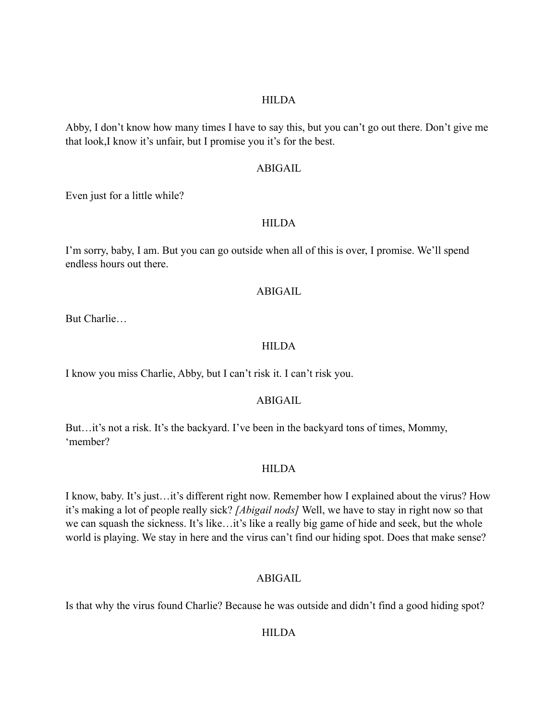### **HILDA**

Abby, I don't know how many times I have to say this, but you can't go out there. Don't give me that look,I know it's unfair, but I promise you it's for the best.

#### ABIGAIL

Even just for a little while?

#### **HILDA**

I'm sorry, baby, I am. But you can go outside when all of this is over, I promise. We'll spend endless hours out there.

### ABIGAIL

But Charlie…

### **HILDA**

I know you miss Charlie, Abby, but I can't risk it. I can't risk you.

### ABIGAIL

But...it's not a risk. It's the backyard. I've been in the backyard tons of times, Mommy, 'member?

### HILDA

I know, baby. It's just…it's different right now. Remember how I explained about the virus? How it's making a lot of people really sick? *[Abigail nods]* Well, we have to stay in right now so that we can squash the sickness. It's like…it's like a really big game of hide and seek, but the whole world is playing. We stay in here and the virus can't find our hiding spot. Does that make sense?

### ABIGAIL

Is that why the virus found Charlie? Because he was outside and didn't find a good hiding spot?

### **HILDA**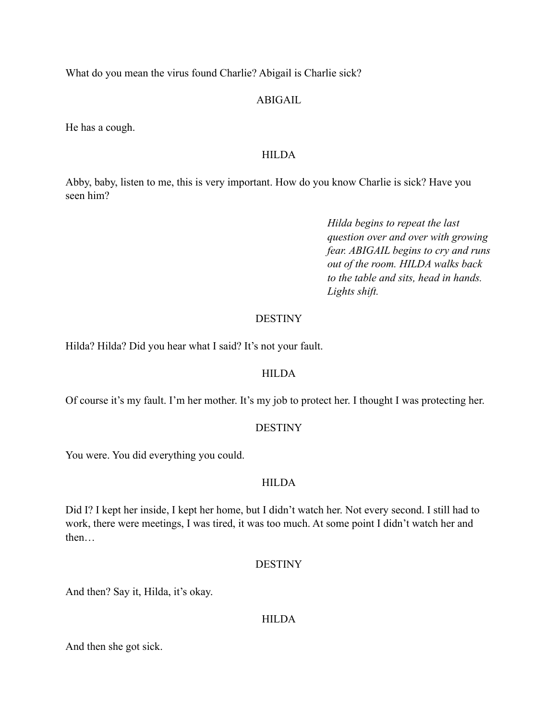What do you mean the virus found Charlie? Abigail is Charlie sick?

## ABIGAIL

He has a cough.

## HILDA

Abby, baby, listen to me, this is very important. How do you know Charlie is sick? Have you seen him?

> *Hilda begins to repeat the last question over and over with growing fear. ABIGAIL begins to cry and runs out of the room. HILDA walks back to the table and sits, head in hands. Lights shift.*

## **DESTINY**

Hilda? Hilda? Did you hear what I said? It's not your fault.

## **HILDA**

Of course it's my fault. I'm her mother. It's my job to protect her. I thought I was protecting her.

## DESTINY

You were. You did everything you could.

## **HILDA**

Did I? I kept her inside, I kept her home, but I didn't watch her. Not every second. I still had to work, there were meetings, I was tired, it was too much. At some point I didn't watch her and then…

## DESTINY

And then? Say it, Hilda, it's okay.

### **HILDA**

And then she got sick.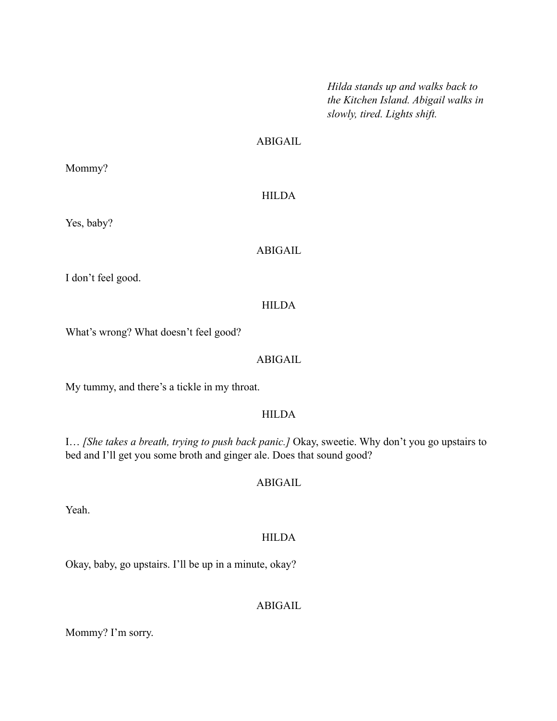*Hilda stands up and walks back to the Kitchen Island. Abigail walks in slowly, tired. Lights shift.* 

## ABIGAIL

Mommy?

### HILDA

Yes, baby?

### ABIGAIL

I don't feel good.

### HILDA

What's wrong? What doesn't feel good?

#### ABIGAIL

My tummy, and there's a tickle in my throat.

#### HILDA

I… *[She takes a breath, trying to push back panic.]* Okay, sweetie. Why don't you go upstairs to bed and I'll get you some broth and ginger ale. Does that sound good?

## ABIGAIL

Yeah.

### HILDA

Okay, baby, go upstairs. I'll be up in a minute, okay?

## ABIGAIL

Mommy? I'm sorry.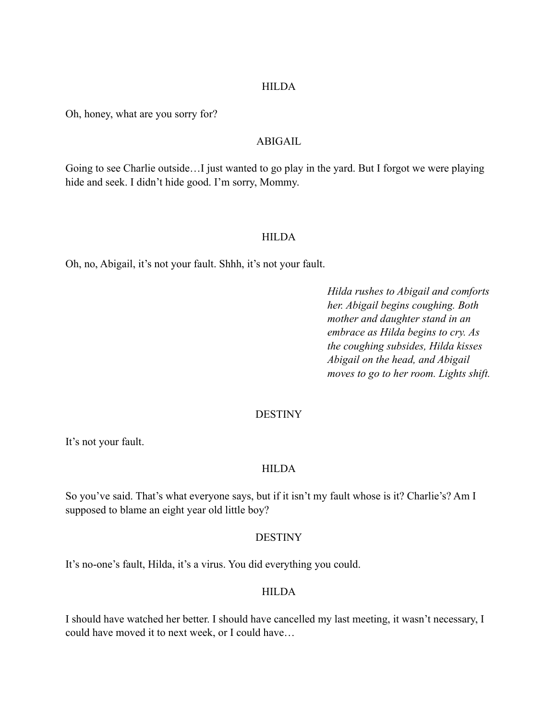#### **HILDA**

Oh, honey, what are you sorry for?

## ABIGAIL

Going to see Charlie outside…I just wanted to go play in the yard. But I forgot we were playing hide and seek. I didn't hide good. I'm sorry, Mommy.

#### **HILDA**

Oh, no, Abigail, it's not your fault. Shhh, it's not your fault.

*Hilda rushes to Abigail and comforts her. Abigail begins coughing. Both mother and daughter stand in an embrace as Hilda begins to cry. As the coughing subsides, Hilda kisses Abigail on the head, and Abigail moves to go to her room. Lights shift.* 

#### **DESTINY**

It's not your fault.

#### HILDA

So you've said. That's what everyone says, but if it isn't my fault whose is it? Charlie's? Am I supposed to blame an eight year old little boy?

#### **DESTINY**

It's no-one's fault, Hilda, it's a virus. You did everything you could.

### **HILDA**

I should have watched her better. I should have cancelled my last meeting, it wasn't necessary, I could have moved it to next week, or I could have…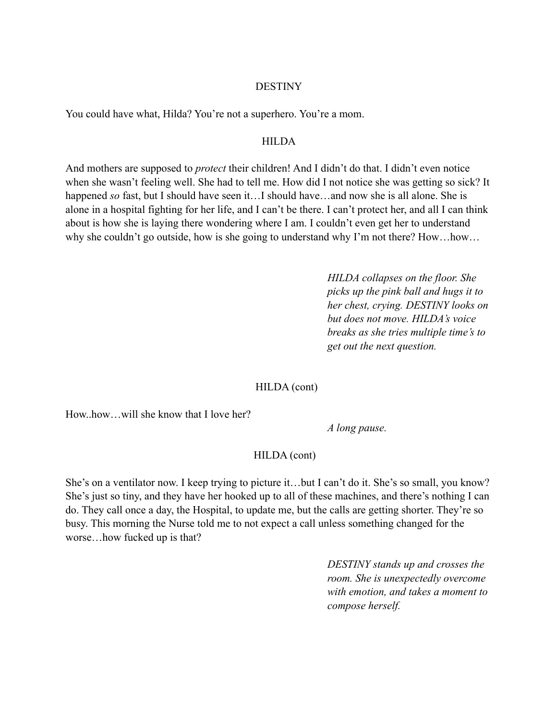#### **DESTINY**

You could have what, Hilda? You're not a superhero. You're a mom.

#### **HILDA**

And mothers are supposed to *protect* their children! And I didn't do that. I didn't even notice when she wasn't feeling well. She had to tell me. How did I not notice she was getting so sick? It happened *so* fast, but I should have seen it...I should have...and now she is all alone. She is alone in a hospital fighting for her life, and I can't be there. I can't protect her, and all I can think about is how she is laying there wondering where I am. I couldn't even get her to understand why she couldn't go outside, how is she going to understand why I'm not there? How...how...

> *HILDA collapses on the floor. She picks up the pink ball and hugs it to her chest, crying. DESTINY looks on but does not move. HILDA's voice breaks as she tries multiple time's to get out the next question.*

### HILDA (cont)

How..how…will she know that I love her?

*A long pause.* 

### HILDA (cont)

She's on a ventilator now. I keep trying to picture it…but I can't do it. She's so small, you know? She's just so tiny, and they have her hooked up to all of these machines, and there's nothing I can do. They call once a day, the Hospital, to update me, but the calls are getting shorter. They're so busy. This morning the Nurse told me to not expect a call unless something changed for the worse…how fucked up is that?

> *DESTINY stands up and crosses the room. She is unexpectedly overcome with emotion, and takes a moment to compose herself.*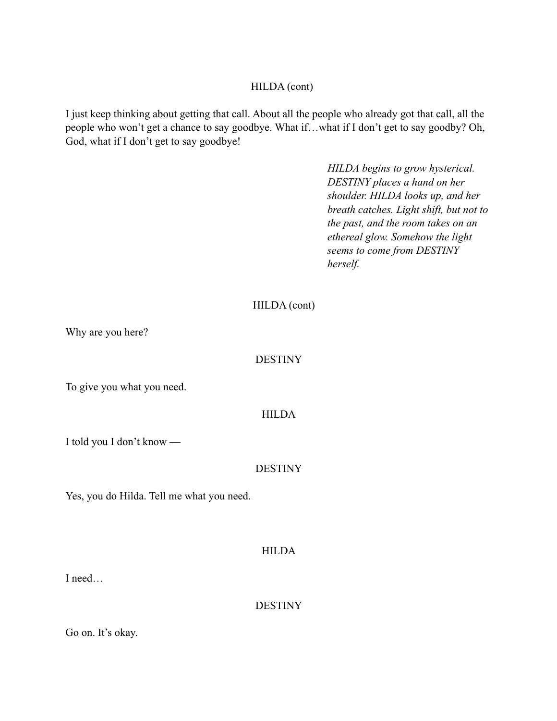### HILDA (cont)

I just keep thinking about getting that call. About all the people who already got that call, all the people who won't get a chance to say goodbye. What if…what if I don't get to say goodby? Oh, God, what if I don't get to say goodbye!

> *HILDA begins to grow hysterical. DESTINY places a hand on her shoulder. HILDA looks up, and her breath catches. Light shift, but not to the past, and the room takes on an ethereal glow. Somehow the light seems to come from DESTINY herself.*

## HILDA (cont)

Why are you here?

## DESTINY

To give you what you need.

### HILDA

I told you I don't know —

## **DESTINY**

Yes, you do Hilda. Tell me what you need.

## HILDA

I need…

**DESTINY** 

Go on. It's okay.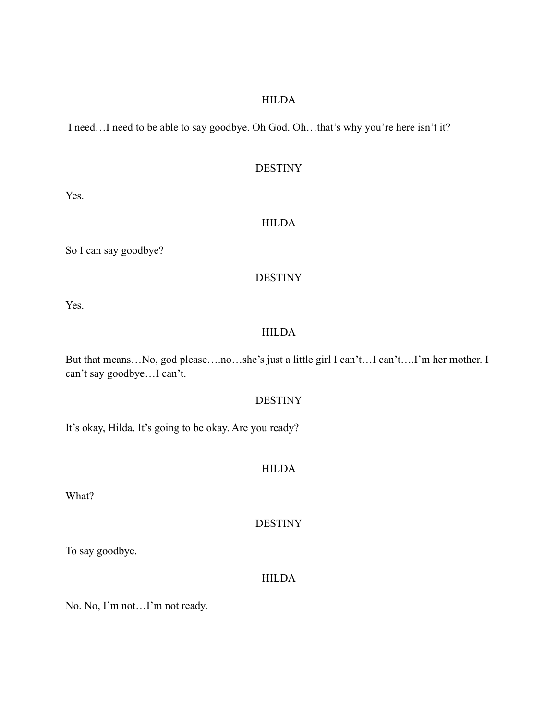### HILDA

I need…I need to be able to say goodbye. Oh God. Oh…that's why you're here isn't it?

#### DESTINY

Yes.

### HILDA

So I can say goodbye?

### DESTINY

Yes.

## HILDA

But that means…No, god please….no…she's just a little girl I can't…I can't….I'm her mother. I can't say goodbye…I can't.

## DESTINY

It's okay, Hilda. It's going to be okay. Are you ready?

### HILDA

What?

DESTINY

To say goodbye.

### HILDA

No. No, I'm not…I'm not ready.